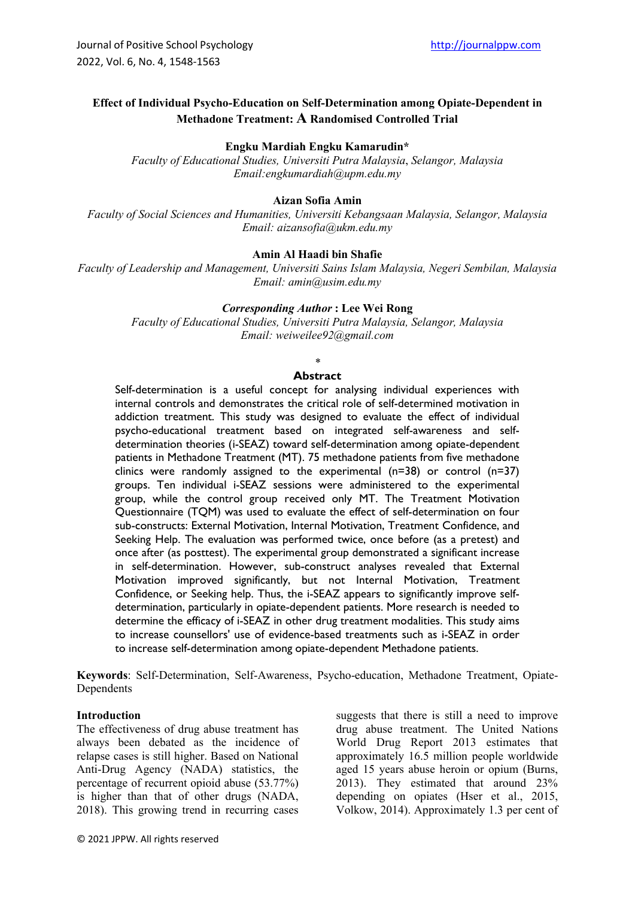# **Effect of Individual Psycho-Education on Self-Determination among Opiate-Dependent in Methadone Treatment: A Randomised Controlled Trial**

### **Engku Mardiah Engku Kamarudin\***

*Faculty of Educational Studies, Universiti Putra Malaysia*, *Selangor, Malaysia Email:engkumardiah@upm.edu.my*

#### **Aizan Sofia Amin**

*Faculty of Social Sciences and Humanities, Universiti Kebangsaan Malaysia, Selangor, Malaysia Email: aizansofia@ukm.edu.my*

### **Amin Al Haadi bin Shafie**

*Faculty of Leadership and Management, Universiti Sains Islam Malaysia, Negeri Sembilan, Malaysia Email: amin@usim.edu.my*

## *Corresponding Author* **: Lee Wei Rong**

*Faculty of Educational Studies, Universiti Putra Malaysia, Selangor, Malaysia Email: weiweilee92@gmail.com*

### *\**

### **Abstract**

Self-determination is a useful concept for analysing individual experiences with internal controls and demonstrates the critical role of self-determined motivation in addiction treatment. This study was designed to evaluate the effect of individual psycho-educational treatment based on integrated self-awareness and selfdetermination theories (i-SEAZ) toward self-determination among opiate-dependent patients in Methadone Treatment (MT). 75 methadone patients from five methadone clinics were randomly assigned to the experimental  $(n=38)$  or control  $(n=37)$ groups. Ten individual i-SEAZ sessions were administered to the experimental group, while the control group received only MT. The Treatment Motivation Questionnaire (TQM) was used to evaluate the effect of self-determination on four sub-constructs: External Motivation, Internal Motivation, Treatment Confidence, and Seeking Help. The evaluation was performed twice, once before (as a pretest) and once after (as posttest). The experimental group demonstrated a significant increase in self-determination. However, sub-construct analyses revealed that External Motivation improved significantly, but not Internal Motivation, Treatment Confidence, or Seeking help. Thus, the i-SEAZ appears to significantly improve selfdetermination, particularly in opiate-dependent patients. More research is needed to determine the efficacy of i-SEAZ in other drug treatment modalities. This study aims to increase counsellors' use of evidence-based treatments such as i-SEAZ in order to increase self-determination among opiate-dependent Methadone patients.

**Keywords**: Self-Determination, Self-Awareness, Psycho-education, Methadone Treatment, Opiate-Dependents

#### **Introduction**

The effectiveness of drug abuse treatment has always been debated as the incidence of relapse cases is still higher. Based on National Anti-Drug Agency (NADA) statistics, the percentage of recurrent opioid abuse (53.77%) is higher than that of other drugs (NADA, 2018). This growing trend in recurring cases

suggests that there is still a need to improve drug abuse treatment. The United Nations World Drug Report 2013 estimates that approximately 16.5 million people worldwide aged 15 years abuse heroin or opium (Burns, 2013). They estimated that around 23% depending on opiates (Hser et al., 2015, Volkow, 2014). Approximately 1.3 per cent of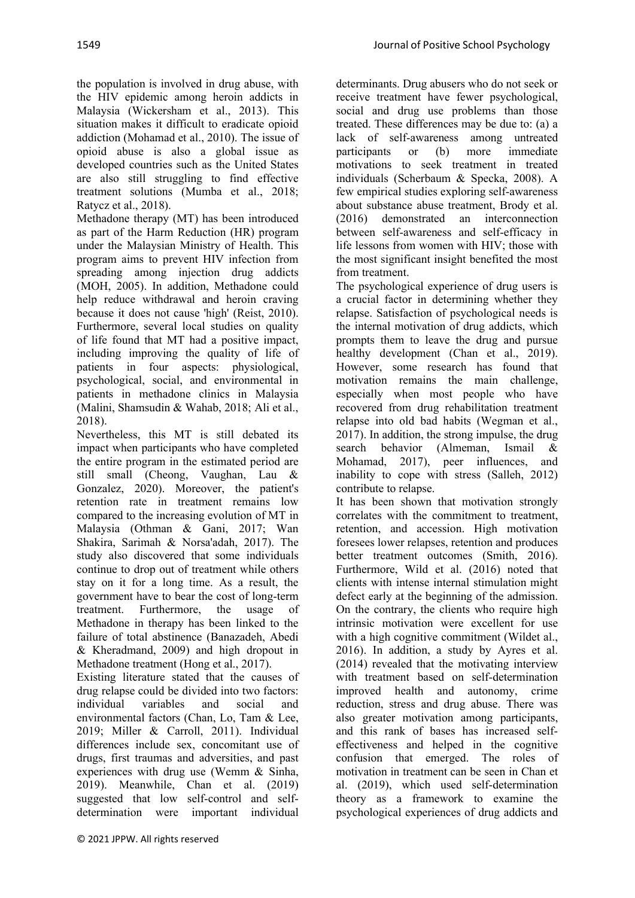the population is involved in drug abuse, with the HIV epidemic among heroin addicts in Malaysia (Wickersham et al., 2013). This situation makes it difficult to eradicate opioid addiction (Mohamad et al., 2010). The issue of opioid abuse is also a global issue as developed countries such as the United States are also still struggling to find effective treatment solutions (Mumba et al., 2018; Ratycz et al., 2018).

Methadone therapy (MT) has been introduced as part of the Harm Reduction (HR) program under the Malaysian Ministry of Health. This program aims to prevent HIV infection from spreading among injection drug addicts (MOH, 2005). In addition, Methadone could help reduce withdrawal and heroin craving because it does not cause 'high' (Reist, 2010). Furthermore, several local studies on quality of life found that MT had a positive impact, including improving the quality of life of patients in four aspects: physiological, psychological, social, and environmental in patients in methadone clinics in Malaysia (Malini, Shamsudin & Wahab, 2018; Ali et al., 2018).

Nevertheless, this MT is still debated its impact when participants who have completed the entire program in the estimated period are still small (Cheong, Vaughan, Lau & Gonzalez, 2020). Moreover, the patient's retention rate in treatment remains low compared to the increasing evolution of MT in Malaysia (Othman & Gani, 2017; Wan Shakira, Sarimah & Norsa'adah, 2017). The study also discovered that some individuals continue to drop out of treatment while others stay on it for a long time. As a result, the government have to bear the cost of long-term treatment. Furthermore, the usage of Methadone in therapy has been linked to the failure of total abstinence (Banazadeh, Abedi & Kheradmand, 2009) and high dropout in Methadone treatment (Hong et al., 2017).

Existing literature stated that the causes of drug relapse could be divided into two factors: individual variables and social and environmental factors (Chan, Lo, Tam & Lee, 2019; Miller & Carroll, 2011). Individual differences include sex, concomitant use of drugs, first traumas and adversities, and past experiences with drug use (Wemm & Sinha, 2019). Meanwhile, Chan et al. (2019) suggested that low self-control and selfdetermination were important individual

determinants. Drug abusers who do not seek or receive treatment have fewer psychological, social and drug use problems than those treated. These differences may be due to: (a) a lack of self-awareness among untreated participants or (b) more immediate motivations to seek treatment in treated individuals (Scherbaum & Specka, 2008). A few empirical studies exploring self-awareness about substance abuse treatment, Brody et al. (2016) demonstrated an interconnection between self-awareness and self-efficacy in life lessons from women with HIV; those with the most significant insight benefited the most from treatment.

The psychological experience of drug users is a crucial factor in determining whether they relapse. Satisfaction of psychological needs is the internal motivation of drug addicts, which prompts them to leave the drug and pursue healthy development (Chan et al., 2019). However, some research has found that motivation remains the main challenge, especially when most people who have recovered from drug rehabilitation treatment relapse into old bad habits (Wegman et al., 2017). In addition, the strong impulse, the drug search behavior (Almeman, Ismail & Mohamad, 2017), peer influences, and inability to cope with stress (Salleh, 2012) contribute to relapse.

It has been shown that motivation strongly correlates with the commitment to treatment, retention, and accession. High motivation foresees lower relapses, retention and produces better treatment outcomes (Smith, 2016). Furthermore, Wild et al. (2016) noted that clients with intense internal stimulation might defect early at the beginning of the admission. On the contrary, the clients who require high intrinsic motivation were excellent for use with a high cognitive commitment (Wildet al., 2016). In addition, a study by Ayres et al. (2014) revealed that the motivating interview with treatment based on self-determination improved health and autonomy, crime reduction, stress and drug abuse. There was also greater motivation among participants, and this rank of bases has increased selfeffectiveness and helped in the cognitive confusion that emerged. The roles of motivation in treatment can be seen in Chan et al. (2019), which used self-determination theory as a framework to examine the psychological experiences of drug addicts and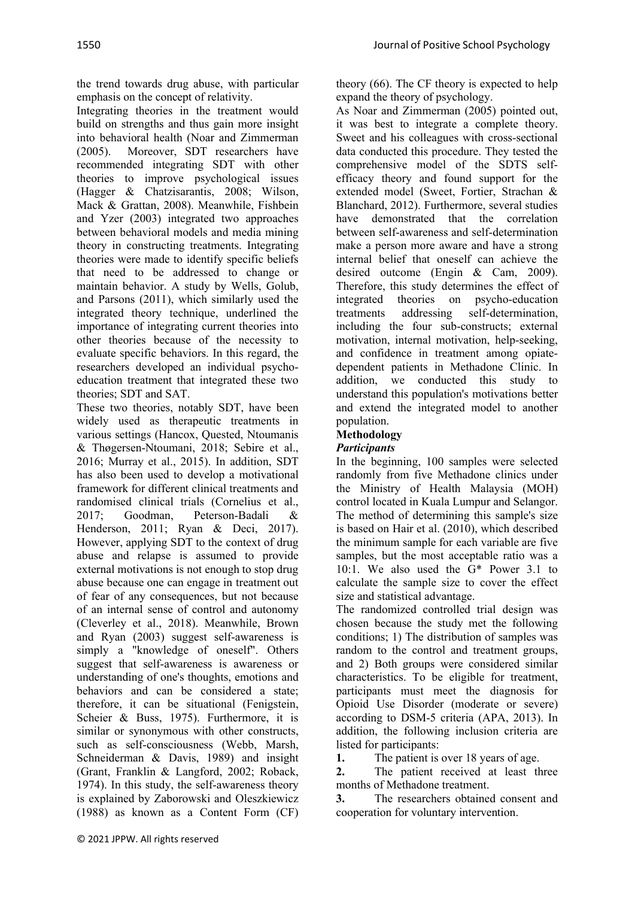the trend towards drug abuse, with particular emphasis on the concept of relativity.

Integrating theories in the treatment would build on strengths and thus gain more insight into behavioral health (Noar and Zimmerman (2005). Moreover, SDT researchers have recommended integrating SDT with other theories to improve psychological issues (Hagger & Chatzisarantis, 2008; Wilson, Mack & Grattan, 2008). Meanwhile, Fishbein and Yzer (2003) integrated two approaches between behavioral models and media mining theory in constructing treatments. Integrating theories were made to identify specific beliefs that need to be addressed to change or maintain behavior. A study by Wells, Golub, and Parsons (2011), which similarly used the integrated theory technique, underlined the importance of integrating current theories into other theories because of the necessity to evaluate specific behaviors. In this regard, the researchers developed an individual psychoeducation treatment that integrated these two theories; SDT and SAT.

These two theories, notably SDT, have been widely used as therapeutic treatments in various settings (Hancox, Quested, Ntoumanis & Thøgersen-Ntoumani, 2018; Sebire et al., 2016; Murray et al., 2015). In addition, SDT has also been used to develop a motivational framework for different clinical treatments and randomised clinical trials (Cornelius et al., 2017; Goodman, Peterson-Badali & Henderson, 2011; Ryan & Deci, 2017). However, applying SDT to the context of drug abuse and relapse is assumed to provide external motivations is not enough to stop drug abuse because one can engage in treatment out of fear of any consequences, but not because of an internal sense of control and autonomy (Cleverley et al., 2018). Meanwhile, Brown and Ryan (2003) suggest self-awareness is simply a "knowledge of oneself". Others suggest that self-awareness is awareness or understanding of one's thoughts, emotions and behaviors and can be considered a state; therefore, it can be situational (Fenigstein, Scheier & Buss, 1975). Furthermore, it is similar or synonymous with other constructs, such as self-consciousness (Webb, Marsh, Schneiderman & Davis, 1989) and insight (Grant, Franklin & Langford, 2002; Roback, 1974). In this study, the self-awareness theory is explained by Zaborowski and Oleszkiewicz (1988) as known as a Content Form (CF) theory (66). The CF theory is expected to help expand the theory of psychology.

As Noar and Zimmerman (2005) pointed out, it was best to integrate a complete theory. Sweet and his colleagues with cross-sectional data conducted this procedure. They tested the comprehensive model of the SDTS selfefficacy theory and found support for the extended model (Sweet, Fortier, Strachan & Blanchard, 2012). Furthermore, several studies have demonstrated that the correlation between self-awareness and self-determination make a person more aware and have a strong internal belief that oneself can achieve the desired outcome (Engin & Cam, 2009). Therefore, this study determines the effect of integrated theories on psycho-education treatments addressing self-determination, including the four sub-constructs; external motivation, internal motivation, help-seeking, and confidence in treatment among opiatedependent patients in Methadone Clinic. In addition, we conducted this study to understand this population's motivations better and extend the integrated model to another population.

# **Methodology**

## *Participants*

In the beginning, 100 samples were selected randomly from five Methadone clinics under the Ministry of Health Malaysia (MOH) control located in Kuala Lumpur and Selangor. The method of determining this sample's size is based on Hair et al. (2010), which described the minimum sample for each variable are five samples, but the most acceptable ratio was a 10:1. We also used the G\* Power 3.1 to calculate the sample size to cover the effect size and statistical advantage.

The randomized controlled trial design was chosen because the study met the following conditions; 1) The distribution of samples was random to the control and treatment groups, and 2) Both groups were considered similar characteristics. To be eligible for treatment, participants must meet the diagnosis for Opioid Use Disorder (moderate or severe) according to DSM-5 criteria (APA, 2013). In addition, the following inclusion criteria are listed for participants:

**1.** The patient is over 18 years of age.

**2.** The patient received at least three months of Methadone treatment.

**3.** The researchers obtained consent and cooperation for voluntary intervention.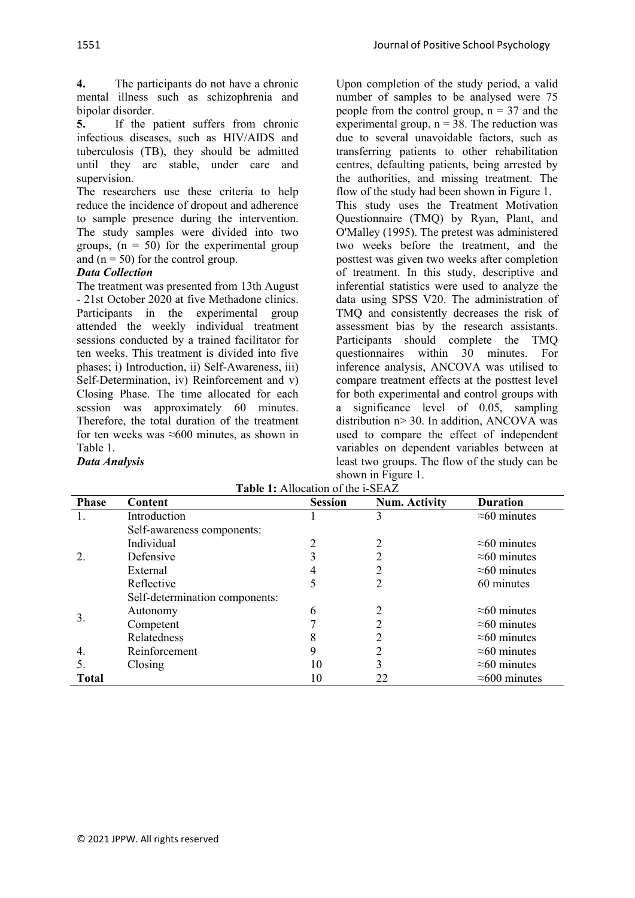**4.** The participants do not have a chronic mental illness such as schizophrenia and bipolar disorder.<br>5. If the r

**5.** If the patient suffers from chronic infectious diseases, such as HIV/AIDS and tuberculosis (TB), they should be admitted until they are stable, under care and supervision.

The researchers use these criteria to help reduce the incidence of dropout and adherence to sample presence during the intervention. The study samples were divided into two groups,  $(n = 50)$  for the experimental group and  $(n = 50)$  for the control group.

## *Data Collection*

The treatment was presented from 13th August - 21st October 2020 at five Methadone clinics. Participants in the experimental group attended the weekly individual treatment sessions conducted by a trained facilitator for ten weeks. This treatment is divided into five phases; i) Introduction, ii) Self-Awareness, iii) Self-Determination, iv) Reinforcement and v) Closing Phase. The time allocated for each session was approximately 60 minutes. Therefore, the total duration of the treatment for ten weeks was  $\approx 600$  minutes, as shown in Table 1.

*Data Analysis*

Upon completion of the study period, a valid number of samples to be analysed were 75 people from the control group,  $n = 37$  and the experimental group,  $n = 38$ . The reduction was due to several unavoidable factors, such as transferring patients to other rehabilitation centres, defaulting patients, being arrested by the authorities, and missing treatment. The flow of the study had been shown in Figure 1. This study uses the Treatment Motivation Questionnaire (TMQ) by Ryan, Plant, and O'Malley (1995). The pretest was administered two weeks before the treatment, and the posttest was given two weeks after completion of treatment. In this study, descriptive and inferential statistics were used to analyze the data using SPSS V20. The administration of TMQ and consistently decreases the risk of assessment bias by the research assistants. Participants should complete the TMQ questionnaires within 30 minutes. For inference analysis, ANCOVA was utilised to compare treatment effects at the posttest level for both experimental and control groups with a significance level of 0.05, sampling distribution n> 30. In addition, ANCOVA was used to compare the effect of independent variables on dependent variables between at least two groups. The flow of the study can be shown in Figure 1.

| <b>Phase</b> | Content                        | <b>Session</b> | <b>Num. Activity</b> | <b>Duration</b>       |
|--------------|--------------------------------|----------------|----------------------|-----------------------|
| Ι.           | Introduction                   |                | 3                    | $\approx 60$ minutes  |
|              | Self-awareness components:     |                |                      |                       |
|              | Individual                     | 2              | 2                    | $\approx 60$ minutes  |
| 2.           | Defensive                      |                | າ                    | $\approx 60$ minutes  |
|              | External                       |                | າ                    | $\approx 60$ minutes  |
|              | Reflective                     |                | 2                    | 60 minutes            |
|              | Self-determination components: |                |                      |                       |
| 3.           | Autonomy                       | 6              | 2                    | $\approx 60$ minutes  |
|              | Competent                      | ┑              | 2                    | $\approx 60$ minutes  |
|              | Relatedness                    | 8              | າ                    | $\approx 60$ minutes  |
| 4.           | Reinforcement                  | 9              | າ                    | $\approx 60$ minutes  |
| 5.           | Closing                        | 10             | 3                    | $\approx 60$ minutes  |
| <b>Total</b> |                                |                | 22                   | $\approx$ 600 minutes |

|  | <b>Table 1:</b> Allocation of the i-SEAZ |  |  |
|--|------------------------------------------|--|--|
|  |                                          |  |  |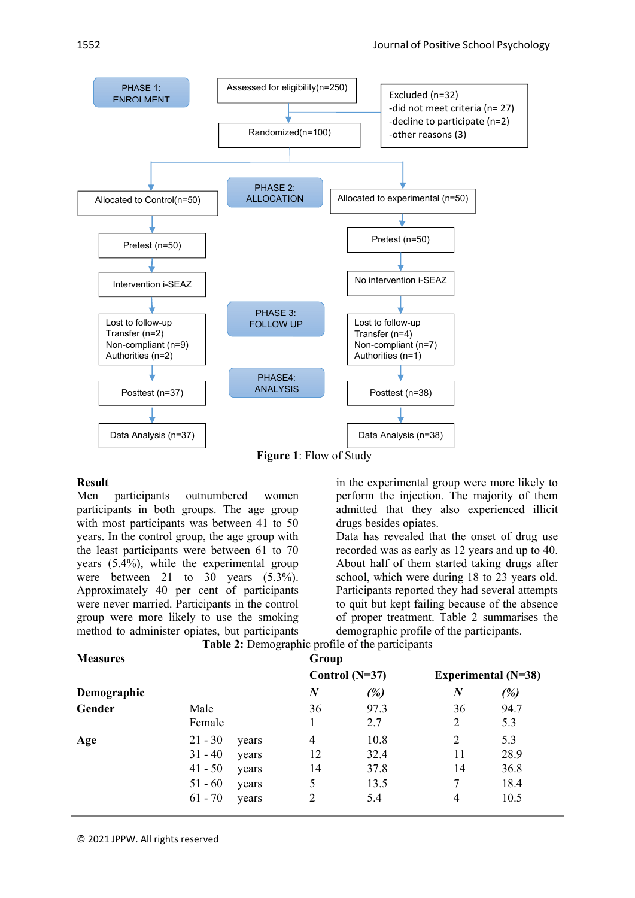

**Figure 1**: Flow of Study

## **Result**

Men participants outnumbered women participants in both groups. The age group with most participants was between 41 to 50 years. In the control group, the age group with the least participants were between 61 to 70 years (5.4%), while the experimental group were between 21 to 30 years  $(5.3\%)$ . Approximately 40 per cent of participants were never married. Participants in the control group were more likely to use the smoking method to administer opiates, but participants in the experimental group were more likely to perform the injection. The majority of them admitted that they also experienced illicit drugs besides opiates.

Data has revealed that the onset of drug use recorded was as early as 12 years and up to 40. About half of them started taking drugs after school, which were during 18 to 23 years old. Participants reported they had several attempts to quit but kept failing because of the absence of proper treatment. Table 2 summarises the demographic profile of the participants.

| <b>Measures</b> |           |       | Group            |                  |                  |                            |
|-----------------|-----------|-------|------------------|------------------|------------------|----------------------------|
|                 |           |       |                  | Control $(N=37)$ |                  | <b>Experimental</b> (N=38) |
| Demographic     |           |       | $\boldsymbol{N}$ | (%)              | $\boldsymbol{N}$ | (%)                        |
| Gender          | Male      |       | 36               | 97.3             | 36               | 94.7                       |
|                 | Female    |       |                  | 2.7              | 2                | 5.3                        |
| Age             | $21 - 30$ | years | $\overline{4}$   | 10.8             | $\overline{2}$   | 5.3                        |
|                 | $31 - 40$ | years | 12               | 32.4             | 11               | 28.9                       |
|                 | $41 - 50$ | years | 14               | 37.8             | 14               | 36.8                       |
|                 | $51 - 60$ | years | 5                | 13.5             | 7                | 18.4                       |
|                 | $61 - 70$ | years | 2                | 5.4              | 4                | 10.5                       |

**Table 2:** Demographic profile of the participants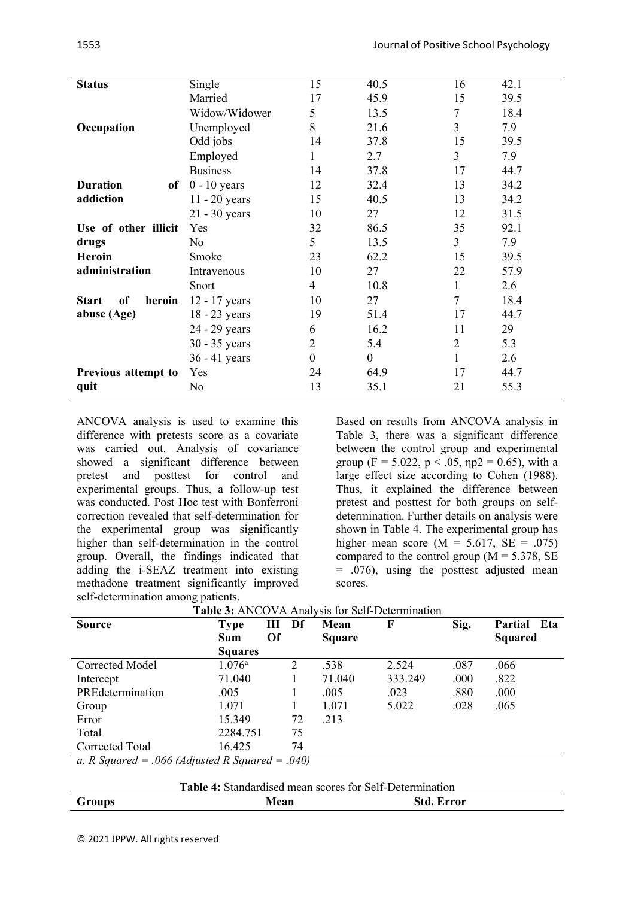| Single          | 15               | 40.5     | 16             | 42.1 |
|-----------------|------------------|----------|----------------|------|
| Married         | 17               | 45.9     | 15             | 39.5 |
| Widow/Widower   | 5                | 13.5     | 7              | 18.4 |
| Unemployed      | 8                | 21.6     | 3              | 7.9  |
| Odd jobs        | 14               | 37.8     | 15             | 39.5 |
| Employed        | 1                | 2.7      | 3              | 7.9  |
| <b>Business</b> | 14               | 37.8     | 17             | 44.7 |
| $0 - 10$ years  | 12               | 32.4     | 13             | 34.2 |
| $11 - 20$ years | 15               | 40.5     | 13             | 34.2 |
| 21 - 30 years   | 10               | 27       | 12             | 31.5 |
| Yes             | 32               | 86.5     | 35             | 92.1 |
| No              | 5                | 13.5     | 3              | 7.9  |
| Smoke           | 23               | 62.2     | 15             | 39.5 |
| Intravenous     | 10               | 27       | 22             | 57.9 |
| Snort           | 4                | 10.8     | $\mathbf{1}$   | 2.6  |
| 12 - 17 years   | 10               | 27       | 7              | 18.4 |
| 18 - 23 years   | 19               | 51.4     | 17             | 44.7 |
| 24 - 29 years   | 6                | 16.2     | 11             | 29   |
| 30 - 35 years   | $\overline{2}$   | 5.4      | $\overline{2}$ | 5.3  |
| 36 - 41 years   | $\boldsymbol{0}$ | $\theta$ | $\mathbf{1}$   | 2.6  |
| Yes             | 24               | 64.9     | 17             | 44.7 |
| No              | 13               | 35.1     | 21             | 55.3 |
|                 | of               |          |                |      |

ANCOVA analysis is used to examine this difference with pretests score as a covariate was carried out. Analysis of covariance showed a significant difference between pretest and posttest for control and experimental groups. Thus, a follow-up test was conducted. Post Hoc test with Bonferroni correction revealed that self-determination for the experimental group was significantly higher than self-determination in the control group. Overall, the findings indicated that adding the i-SEAZ treatment into existing methadone treatment significantly improved self-determination among patients.

Based on results from ANCOVA analysis in Table 3, there was a significant difference between the control group and experimental group (F = 5.022, p < .05,  $np2 = 0.65$ ), with a large effect size according to Cohen (1988). Thus, it explained the difference between pretest and posttest for both groups on selfdetermination. Further details on analysis were shown in Table 4. The experimental group has higher mean score ( $M = 5.617$ ,  $SE = .075$ ) compared to the control group ( $M = 5.378$ , SE = .076), using the posttest adjusted mean scores.

|                                                                                                                                                                                                                                                                                                          | <b>Table 5:</b> ANCOVA Analysis for Self-Determination |                     |               |         |      |                |
|----------------------------------------------------------------------------------------------------------------------------------------------------------------------------------------------------------------------------------------------------------------------------------------------------------|--------------------------------------------------------|---------------------|---------------|---------|------|----------------|
| <b>Source</b>                                                                                                                                                                                                                                                                                            | <b>Type</b>                                            | Ш<br>Df             | Mean          | F       | Sig. | Partial Eta    |
|                                                                                                                                                                                                                                                                                                          | Sum                                                    | Of                  | <b>Square</b> |         |      | <b>Squared</b> |
|                                                                                                                                                                                                                                                                                                          | <b>Squares</b>                                         |                     |               |         |      |                |
| Corrected Model                                                                                                                                                                                                                                                                                          | $1.076^{\circ}$                                        | 2                   | .538          | 2.524   | .087 | .066           |
| Intercept                                                                                                                                                                                                                                                                                                | 71.040                                                 |                     | 71.040        | 333.249 | .000 | .822           |
| PREdetermination                                                                                                                                                                                                                                                                                         | .005                                                   |                     | .005          | .023    | .880 | .000           |
| Group                                                                                                                                                                                                                                                                                                    | 1.071                                                  |                     | 1.071         | 5.022   | .028 | .065           |
| Error                                                                                                                                                                                                                                                                                                    | 15.349                                                 | 72                  | .213          |         |      |                |
| Total                                                                                                                                                                                                                                                                                                    | 2284.751                                               | 75                  |               |         |      |                |
| Corrected Total                                                                                                                                                                                                                                                                                          | 16.425                                                 | 74                  |               |         |      |                |
| $P_{\rm C}$ $P_{\rm C}$ $P_{\rm C}$ $P_{\rm C}$ $P_{\rm C}$ $P_{\rm C}$ $P_{\rm C}$ $P_{\rm C}$ $P_{\rm C}$ $P_{\rm C}$ $P_{\rm C}$ $P_{\rm C}$ $P_{\rm C}$ $P_{\rm C}$ $P_{\rm C}$ $P_{\rm C}$ $P_{\rm C}$ $P_{\rm C}$ $P_{\rm C}$ $P_{\rm C}$ $P_{\rm C}$ $P_{\rm C}$ $P_{\rm C}$ $P_{\rm C}$ $P_{\rm$ |                                                        | $\bigcap$ $\bigcap$ |               |         |      |                |

| <b>Table 3:</b> ANCOVA Analysis for Self-Determination |  |
|--------------------------------------------------------|--|
|                                                        |  |

*a. R Squared = .066 (Adjusted R Squared = .040)*

| <b>Table 4:</b> Standardised mean scores for Self-Determination |
|-----------------------------------------------------------------|
|                                                                 |

| $\sim$<br>Group<br>- | . .<br>$\mathbf{M}$ on<br>-an | rror |
|----------------------|-------------------------------|------|
|                      |                               |      |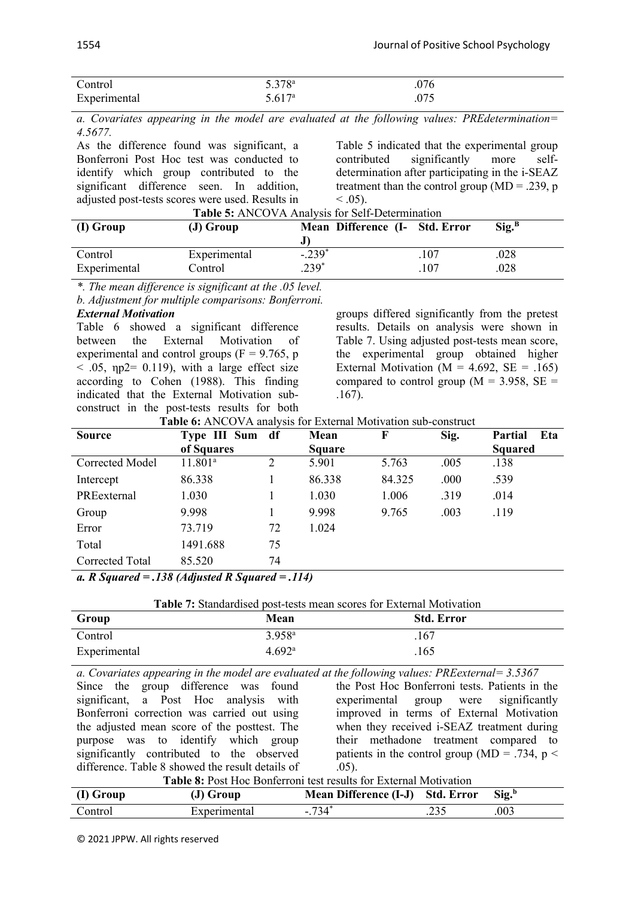| $\sqrt{ }$<br>control | 5.378a | ' C<br>$\cdot$ v $\prime$ |
|-----------------------|--------|---------------------------|
| $E_{\text{max}}$      | 5.617a | $\cdot$                   |

*a. Covariates appearing in the model are evaluated at the following values: PREdetermination= 4.5677.*

As the difference found was significant, a Bonferroni Post Hoc test was conducted to identify which group contributed to the significant difference seen. In addition, adjusted post-tests scores were used. Results in **Table 5:** ANCOVA Analysis for Self-Determination

Table 5 indicated that the experimental group contributed significantly more selfdetermination after participating in the i-SEAZ treatment than the control group ( $MD = .239$ , p  $< .05$ ).

| (I) Group    | $(J)$ Group  | Mean Difference (I- Std. Error |      | $\text{Sig.}^{\text{B}}$ |
|--------------|--------------|--------------------------------|------|--------------------------|
| Control      | Experimental | $-.239*$                       | .107 | .028                     |
| Experimental | Control      | $239*$                         | .107 | .028                     |

*\*. The mean difference is significant at the .05 level.*

*b. Adjustment for multiple comparisons: Bonferroni.*

### *External Motivation*

Table 6 showed a significant difference between the External Motivation of experimental and control groups ( $F = 9.765$ , p  $<$  .05,  $np2 = 0.119$ ), with a large effect size according to Cohen (1988). This finding indicated that the External Motivation subconstruct in the post-tests results for both

groups differed significantly from the pretest results. Details on analysis were shown in Table 7. Using adjusted post-tests mean score, the experimental group obtained higher External Motivation ( $M = 4.692$ ,  $SE = .165$ ) compared to control group ( $M = 3.958$ ,  $SE =$ .167).

**Table 6:** ANCOVA analysis for External Motivation sub-construct

| <b>Source</b>                                               | Type III Sum df |    | Mean          | F      | Sig. | Partial<br>Eta |
|-------------------------------------------------------------|-----------------|----|---------------|--------|------|----------------|
|                                                             | of Squares      |    | <b>Square</b> |        |      | <b>Squared</b> |
| Corrected Model                                             | $11.801^{a}$    | 2  | 5.901         | 5.763  | .005 | .138           |
| Intercept                                                   | 86.338          |    | 86.338        | 84.325 | .000 | .539           |
| PREexternal                                                 | 1.030           |    | 1.030         | 1.006  | .319 | .014           |
| Group                                                       | 9.998           |    | 9.998         | 9.765  | .003 | .119           |
| Error                                                       | 73.719          | 72 | 1.024         |        |      |                |
| Total                                                       | 1491.688        | 75 |               |        |      |                |
| Corrected Total                                             | 85.520          | 74 |               |        |      |                |
| $\alpha$ D Concurred $=$ 120 (Adicated D Concurred $=$ 114) |                 |    |               |        |      |                |

*a. R Squared = .138 (Adjusted R Squared = .114)*

**Table 7:** Standardised post-tests mean scores for External Motivation

| Group        | Mean               | <b>Std. Error</b> |
|--------------|--------------------|-------------------|
| Control      | $3.958^{a}$        | .167              |
| Experimental | 4.692 <sup>a</sup> | .165              |

*a. Covariates appearing in the model are evaluated at the following values: PREexternal= 3.5367* Since the group difference was found significant, a Post Hoc analysis with Bonferroni correction was carried out using the adjusted mean score of the posttest. The purpose was to identify which group significantly contributed to the observed difference. Table 8 showed the result details of .05).

the Post Hoc Bonferroni tests. Patients in the experimental group were significantly improved in terms of External Motivation when they received i-SEAZ treatment during their methadone treatment compared to patients in the control group (MD = .734,  $p \le$ 

| (I) Group | $(J)$ Group  | Mean Difference (I-J) Std. Error Sig.b |      |
|-----------|--------------|----------------------------------------|------|
| Control   | Experimental | $-.734*$                               | .003 |

© 2021 JPPW. All rights reserved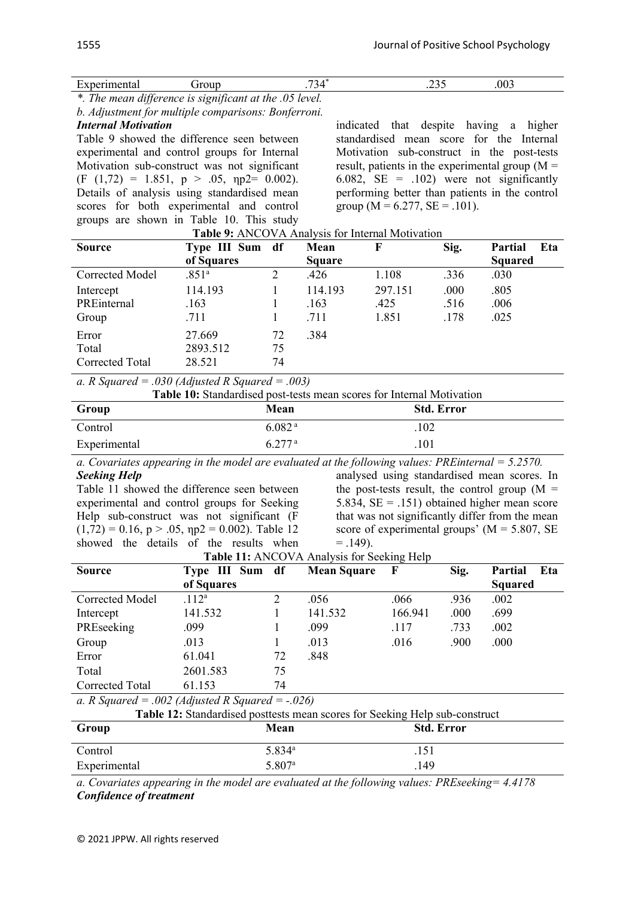| $\overline{\phantom{a}}$<br>.<br>nentai<br>æ<br>⊷ | **^***<br>.vu<br>__ | ---<br>_____ | 003 |
|---------------------------------------------------|---------------------|--------------|-----|
|---------------------------------------------------|---------------------|--------------|-----|

*\*. The mean difference is significant at the .05 level.*

*b. Adjustment for multiple comparisons: Bonferroni.*

## *Internal Motivation*

Table 9 showed the difference seen between experimental and control groups for Internal Motivation sub-construct was not significant  $(F (1,72) = 1.851, p > .05, np2 = 0.002).$ Details of analysis using standardised mean scores for both experimental and control groups are shown in Table 10. This study **Table 9:** ANCOVA Analysis for Internal Motivation

indicated that despite having a higher standardised mean score for the Internal Motivation sub-construct in the post-tests result, patients in the experimental group  $(M =$ 6.082,  $SE = .102$ ) were not significantly performing better than patients in the control group ( $M = 6.277$ ,  $SE = .101$ ).

| <b>THUIC</b> 7. THROO WITTHING YOU THINKING INTO A VALION |                   |    |               |         |      |                |  |
|-----------------------------------------------------------|-------------------|----|---------------|---------|------|----------------|--|
| <b>Source</b>                                             | Type III Sum df   |    | Mean          | F       | Sig. | Partial<br>Eta |  |
|                                                           | of Squares        |    | <b>Square</b> |         |      | <b>Squared</b> |  |
| <b>Corrected Model</b>                                    | .851 <sup>a</sup> |    | .426          | 1.108   | .336 | .030           |  |
| Intercept                                                 | 114.193           |    | 114.193       | 297.151 | .000 | .805           |  |
| PREinternal                                               | .163              |    | .163          | .425    | .516 | .006           |  |
| Group                                                     | .711              |    | .711          | 1.851   | .178 | .025           |  |
| Error                                                     | 27.669            | 72 | .384          |         |      |                |  |
| Total                                                     | 2893.512          | 75 |               |         |      |                |  |
| Corrected Total                                           | 28.521            | 74 |               |         |      |                |  |

*a. R Squared = .030 (Adjusted R Squared = .003)*

| <b>Table 10:</b> Standardised post-tests mean scores for Internal Motivation |                    |                   |  |  |  |
|------------------------------------------------------------------------------|--------------------|-------------------|--|--|--|
| Group                                                                        | Mean               | <b>Std. Error</b> |  |  |  |
| Control                                                                      | 6.082 <sup>a</sup> | .102              |  |  |  |
| Experimental                                                                 | 6.277 <sup>a</sup> | .101              |  |  |  |

*a. Covariates appearing in the model are evaluated at the following values: PREinternal = 5.2570.*

*Seeking Help* Table 11 showed the difference seen between experimental and control groups for Seeking Help sub-construct was not significant (F  $(1,72) = 0.16$ ,  $p > .05$ ,  $np2 = 0.002$ ). Table 12 showed the details of the results when

analysed using standardised mean scores. In the post-tests result, the control group  $(M =$ 5.834,  $SE = .151$ ) obtained higher mean score that was not significantly differ from the mean score of experimental groups' ( $M = 5.807$ , SE  $= .149$ ).

| Table 11: ANCOVA Analysis for Seeking Help |  |  |
|--------------------------------------------|--|--|

| <b>EXAMPLE 11.</b> THREE FILE IN THE FOLLOWING TRIP |                   |    |                    |         |      |                       |  |
|-----------------------------------------------------|-------------------|----|--------------------|---------|------|-----------------------|--|
| <b>Source</b>                                       | Type III Sum df   |    | <b>Mean Square</b> | - F     | Sig. | <b>Partial</b><br>Eta |  |
|                                                     | of Squares        |    |                    |         |      | <b>Squared</b>        |  |
| Corrected Model                                     | .112 <sup>a</sup> |    | .056               | .066    | .936 | .002                  |  |
| Intercept                                           | 141.532           |    | 141.532            | 166.941 | .000 | .699                  |  |
| PREseeking                                          | .099              |    | .099               | .117    | .733 | .002                  |  |
| Group                                               | .013              |    | .013               | .016    | .900 | .000                  |  |
| Error                                               | 61.041            | 72 | .848               |         |      |                       |  |
| Total                                               | 2601.583          | 75 |                    |         |      |                       |  |
| Corrected Total                                     | 61.153            | 74 |                    |         |      |                       |  |
| .                                                   |                   |    |                    |         |      |                       |  |

*a. R Squared = .002 (Adjusted R Squared = -.026)*

| <b>Table 12:</b> Standardised posttests mean scores for Seeking Help sub-construct |                    |                   |  |  |
|------------------------------------------------------------------------------------|--------------------|-------------------|--|--|
| Group                                                                              | Mean               | <b>Std. Error</b> |  |  |
| Control                                                                            | 5.834 <sup>a</sup> | .151              |  |  |
| Experimental                                                                       | 5.807 <sup>a</sup> | 149               |  |  |

*a. Covariates appearing in the model are evaluated at the following values: PREseeking= 4.4178 Confidence of treatment*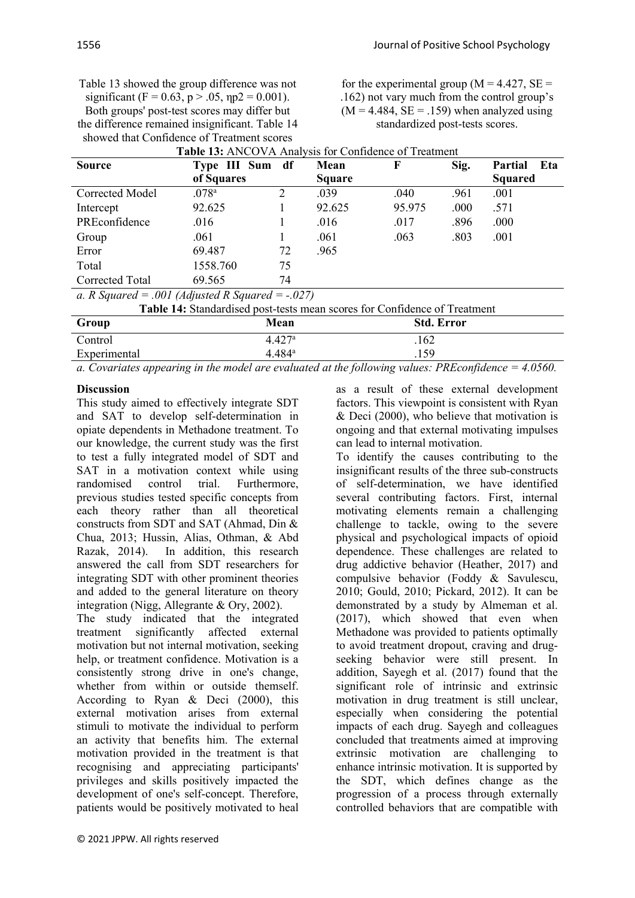for the experimental group ( $M = 4.427$ ,  $SE =$ .162) not vary much from the control group's  $(M = 4.484, SE = .159)$  when analyzed using standardized post-tests scores.

| <b>Source</b>                                       | Type III Sum df                                                           |                    | Mean          | F                 | Sig. | Eta<br><b>Partial</b> |
|-----------------------------------------------------|---------------------------------------------------------------------------|--------------------|---------------|-------------------|------|-----------------------|
|                                                     | of Squares                                                                |                    | <b>Square</b> |                   |      | <b>Squared</b>        |
| Corrected Model                                     | .078 <sup>a</sup>                                                         | 2                  | .039          | .040              | .961 | .001                  |
| Intercept                                           | 92.625                                                                    |                    | 92.625        | 95.975            | .000 | .571                  |
| PREconfidence                                       | .016                                                                      |                    | .016          | .017              | .896 | .000                  |
| Group                                               | .061                                                                      |                    | .061          | .063              | .803 | .001                  |
| Error                                               | 69.487                                                                    | 72                 | .965          |                   |      |                       |
| Total                                               | 1558.760                                                                  | 75                 |               |                   |      |                       |
| Corrected Total                                     | 69.565                                                                    | 74                 |               |                   |      |                       |
| a. R Squared = .001 (Adjusted R Squared = $-.027$ ) |                                                                           |                    |               |                   |      |                       |
|                                                     | Table 14: Standardised post-tests mean scores for Confidence of Treatment |                    |               |                   |      |                       |
| Group                                               |                                                                           | Mean               |               | <b>Std. Error</b> |      |                       |
| Control                                             |                                                                           | 4.427 <sup>a</sup> |               | .162              |      |                       |

*a. Covariates appearing in the model are evaluated at the following values: PREconfidence = 4.0560.*

Experimental 4.484<sup>a</sup> .159

## **Discussion**

This study aimed to effectively integrate SDT and SAT to develop self-determination in opiate dependents in Methadone treatment. To our knowledge, the current study was the first to test a fully integrated model of SDT and SAT in a motivation context while using randomised control trial. Furthermore, previous studies tested specific concepts from each theory rather than all theoretical constructs from SDT and SAT (Ahmad, Din & Chua, 2013; Hussin, Alias, Othman, & Abd Razak, 2014). In addition, this research answered the call from SDT researchers for integrating SDT with other prominent theories and added to the general literature on theory integration (Nigg, Allegrante & Ory, 2002).

The study indicated that the integrated treatment significantly affected external motivation but not internal motivation, seeking help, or treatment confidence. Motivation is a consistently strong drive in one's change, whether from within or outside themself. According to Ryan & Deci (2000), this external motivation arises from external stimuli to motivate the individual to perform an activity that benefits him. The external motivation provided in the treatment is that recognising and appreciating participants' privileges and skills positively impacted the development of one's self-concept. Therefore, patients would be positively motivated to heal as a result of these external development factors. This viewpoint is consistent with Ryan & Deci (2000), who believe that motivation is ongoing and that external motivating impulses can lead to internal motivation.

To identify the causes contributing to the insignificant results of the three sub-constructs of self-determination, we have identified several contributing factors. First, internal motivating elements remain a challenging challenge to tackle, owing to the severe physical and psychological impacts of opioid dependence. These challenges are related to drug addictive behavior (Heather, 2017) and compulsive behavior (Foddy & Savulescu, 2010; Gould, 2010; Pickard, 2012). It can be demonstrated by a study by Almeman et al. (2017), which showed that even when Methadone was provided to patients optimally to avoid treatment dropout, craving and drugseeking behavior were still present. In addition, Sayegh et al. (2017) found that the significant role of intrinsic and extrinsic motivation in drug treatment is still unclear, especially when considering the potential impacts of each drug. Sayegh and colleagues concluded that treatments aimed at improving extrinsic motivation are challenging to enhance intrinsic motivation. It is supported by the SDT, which defines change as the progression of a process through externally controlled behaviors that are compatible with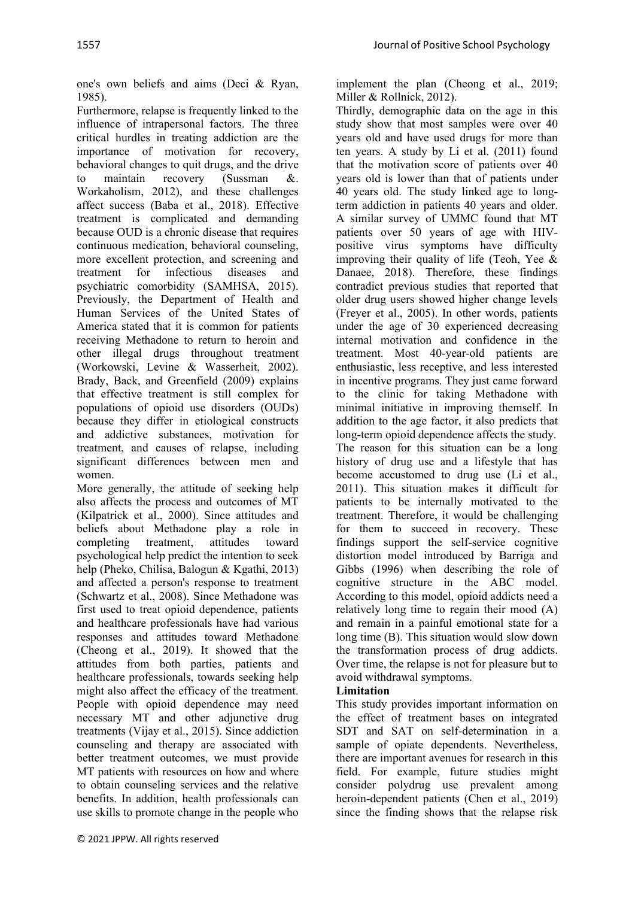one's own beliefs and aims (Deci & Ryan, 1985).

Furthermore, relapse is frequently linked to the influence of intrapersonal factors. The three critical hurdles in treating addiction are the importance of motivation for recovery, behavioral changes to quit drugs, and the drive to maintain recovery (Sussman &. Workaholism, 2012), and these challenges affect success (Baba et al., 2018). Effective treatment is complicated and demanding because OUD is a chronic disease that requires continuous medication, behavioral counseling, more excellent protection, and screening and treatment for infectious diseases and psychiatric comorbidity (SAMHSA, 2015). Previously, the Department of Health and Human Services of the United States of America stated that it is common for patients receiving Methadone to return to heroin and other illegal drugs throughout treatment (Workowski, Levine & Wasserheit, 2002). Brady, Back, and Greenfield (2009) explains that effective treatment is still complex for populations of opioid use disorders (OUDs) because they differ in etiological constructs and addictive substances, motivation for treatment, and causes of relapse, including significant differences between men and women.

More generally, the attitude of seeking help also affects the process and outcomes of MT (Kilpatrick et al., 2000). Since attitudes and beliefs about Methadone play a role in completing treatment, attitudes toward psychological help predict the intention to seek help (Pheko, Chilisa, Balogun & Kgathi, 2013) and affected a person's response to treatment (Schwartz et al., 2008). Since Methadone was first used to treat opioid dependence, patients and healthcare professionals have had various responses and attitudes toward Methadone (Cheong et al., 2019). It showed that the attitudes from both parties, patients and healthcare professionals, towards seeking help might also affect the efficacy of the treatment. People with opioid dependence may need necessary MT and other adjunctive drug treatments (Vijay et al., 2015). Since addiction counseling and therapy are associated with better treatment outcomes, we must provide MT patients with resources on how and where to obtain counseling services and the relative benefits. In addition, health professionals can use skills to promote change in the people who

implement the plan (Cheong et al., 2019; Miller & Rollnick, 2012).

Thirdly, demographic data on the age in this study show that most samples were over 40 years old and have used drugs for more than ten years. A study by Li et al. (2011) found that the motivation score of patients over 40 years old is lower than that of patients under 40 years old. The study linked age to longterm addiction in patients 40 years and older. A similar survey of UMMC found that MT patients over 50 years of age with HIVpositive virus symptoms have difficulty improving their quality of life (Teoh, Yee  $\&$ Danaee, 2018). Therefore, these findings contradict previous studies that reported that older drug users showed higher change levels (Freyer et al., 2005). In other words, patients under the age of 30 experienced decreasing internal motivation and confidence in the treatment. Most 40-year-old patients are enthusiastic, less receptive, and less interested in incentive programs. They just came forward to the clinic for taking Methadone with minimal initiative in improving themself. In addition to the age factor, it also predicts that long-term opioid dependence affects the study. The reason for this situation can be a long history of drug use and a lifestyle that has become accustomed to drug use (Li et al., 2011). This situation makes it difficult for patients to be internally motivated to the treatment. Therefore, it would be challenging for them to succeed in recovery. These findings support the self-service cognitive distortion model introduced by Barriga and Gibbs (1996) when describing the role of cognitive structure in the ABC model. According to this model, opioid addicts need a relatively long time to regain their mood (A) and remain in a painful emotional state for a long time (B). This situation would slow down the transformation process of drug addicts. Over time, the relapse is not for pleasure but to avoid withdrawal symptoms.

## **Limitation**

This study provides important information on the effect of treatment bases on integrated SDT and SAT on self-determination in a sample of opiate dependents. Nevertheless, there are important avenues for research in this field. For example, future studies might consider polydrug use prevalent among heroin-dependent patients (Chen et al., 2019) since the finding shows that the relapse risk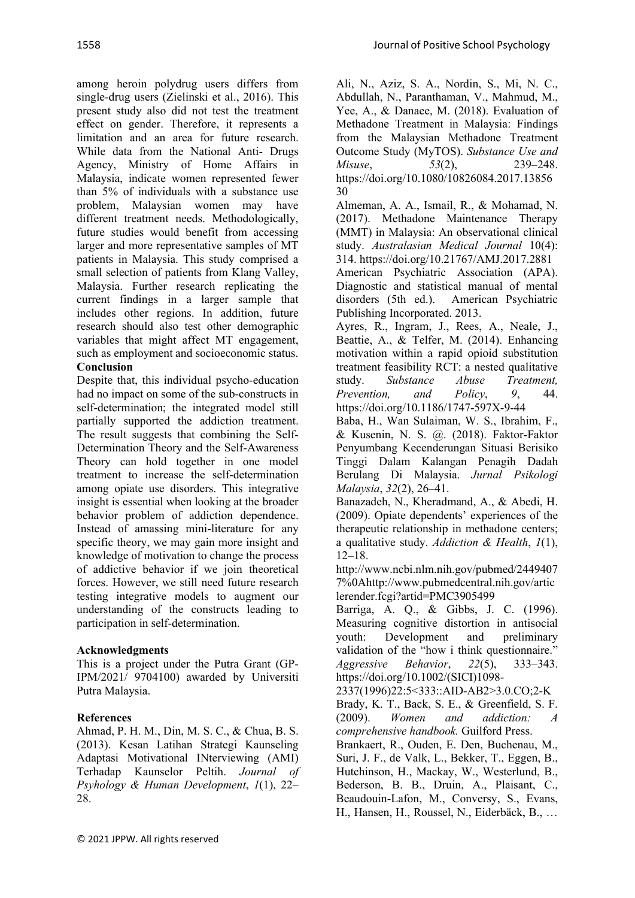among heroin polydrug users differs from single-drug users (Zielinski et al., 2016). This present study also did not test the treatment effect on gender. Therefore, it represents a limitation and an area for future research. While data from the National Anti- Drugs Agency, Ministry of Home Affairs in Malaysia, indicate women represented fewer than 5% of individuals with a substance use problem, Malaysian women may have different treatment needs. Methodologically, future studies would benefit from accessing larger and more representative samples of MT patients in Malaysia. This study comprised a small selection of patients from Klang Valley, Malaysia. Further research replicating the current findings in a larger sample that includes other regions. In addition, future research should also test other demographic variables that might affect MT engagement, such as employment and socioeconomic status. **Conclusion**

Despite that, this individual psycho-education had no impact on some of the sub-constructs in self-determination; the integrated model still partially supported the addiction treatment. The result suggests that combining the Self-Determination Theory and the Self-Awareness Theory can hold together in one model treatment to increase the self-determination among opiate use disorders. This integrative insight is essential when looking at the broader behavior problem of addiction dependence. Instead of amassing mini-literature for any specific theory, we may gain more insight and knowledge of motivation to change the process of addictive behavior if we join theoretical forces. However, we still need future research testing integrative models to augment our understanding of the constructs leading to participation in self-determination.

# **Acknowledgments**

This is a project under the Putra Grant (GP-IPM/2021/ 9704100) awarded by Universiti Putra Malaysia.

# **References**

Ahmad, P. H. M., Din, M. S. C., & Chua, B. S. (2013). Kesan Latihan Strategi Kaunseling Adaptasi Motivational INterviewing (AMI) Terhadap Kaunselor Peltih. *Journal of Psyhology & Human Development*, *1*(1), 22– 28.

Ali, N., Aziz, S. A., Nordin, S., Mi, N. C., Abdullah, N., Paranthaman, V., Mahmud, M., Yee, A., & Danaee, M. (2018). Evaluation of Methadone Treatment in Malaysia: Findings from the Malaysian Methadone Treatment Outcome Study (MyTOS). *Substance Use and Misuse*, *53*(2), 239–248. https://doi.org/10.1080/10826084.2017.13856 30

Almeman, A. A., Ismail, R., & Mohamad, N. (2017). Methadone Maintenance Therapy (MMT) in Malaysia: An observational clinical study. *Australasian Medical Journal* 10(4): 314. https://doi.org/10.21767/AMJ.2017.2881 American Psychiatric Association (APA). Diagnostic and statistical manual of mental disorders (5th ed.). American Psychiatric Publishing Incorporated. 2013.

Ayres, R., Ingram, J., Rees, A., Neale, J., Beattie, A., & Telfer, M. (2014). Enhancing motivation within a rapid opioid substitution treatment feasibility RCT: a nested qualitative study. *Substance Abuse Treatment, Prevention, and Policy*, *9*, 44. https://doi.org/10.1186/1747-597X-9-44

Baba, H., Wan Sulaiman, W. S., Ibrahim, F., & Kusenin, N. S. @. (2018). Faktor-Faktor Penyumbang Kecenderungan Situasi Berisiko Tinggi Dalam Kalangan Penagih Dadah Berulang Di Malaysia. *Jurnal Psikologi Malaysia*, *32*(2), 26–41.

Banazadeh, N., Kheradmand, A., & Abedi, H. (2009). Opiate dependents' experiences of the therapeutic relationship in methadone centers; a qualitative study. *Addiction & Health*, *1*(1), 12–18.

http://www.ncbi.nlm.nih.gov/pubmed/2449407 7%0Ahttp://www.pubmedcentral.nih.gov/artic lerender.fcgi?artid=PMC3905499

Barriga, A. Q., & Gibbs, J. C. (1996). Measuring cognitive distortion in antisocial youth: Development and preliminary validation of the "how i think questionnaire." *Aggressive Behavior*, *22*(5), 333–343. https://doi.org/10.1002/(SICI)1098-

2337(1996)22:5<333::AID-AB2>3.0.CO;2-K Brady, K. T., Back, S. E., & Greenfield, S. F. (2009). *Women and addiction: A comprehensive handbook.* Guilford Press.

Brankaert, R., Ouden, E. Den, Buchenau, M., Suri, J. F., de Valk, L., Bekker, T., Eggen, B., Hutchinson, H., Mackay, W., Westerlund, B., Bederson, B. B., Druin, A., Plaisant, C., Beaudouin-Lafon, M., Conversy, S., Evans, H., Hansen, H., Roussel, N., Eiderbäck, B., …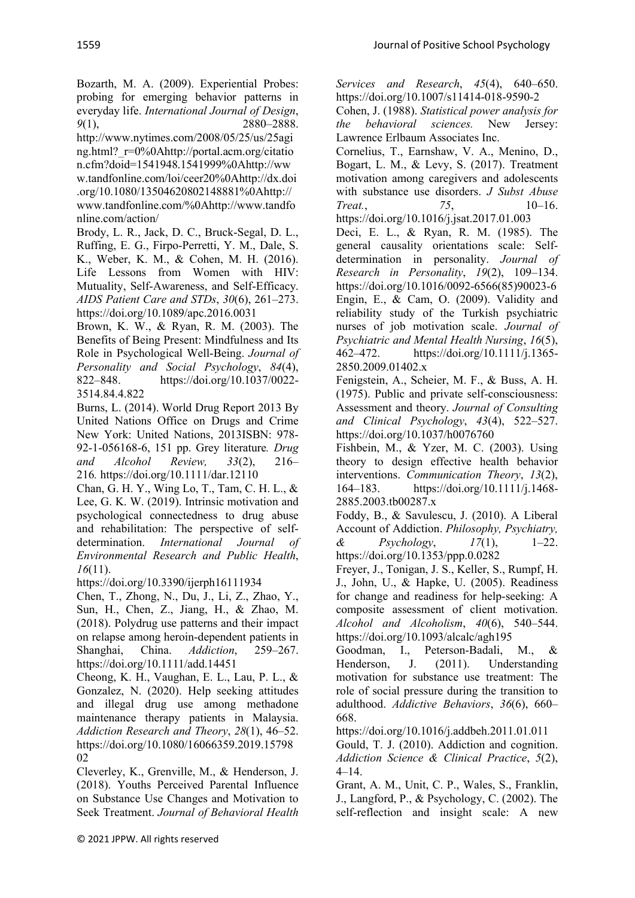Bozarth, M. A. (2009). Experiential Probes: probing for emerging behavior patterns in everyday life. *International Journal of Design*, *9*(1), 2880–2888.

http://www.nytimes.com/2008/05/25/us/25agi ng.html?\_r=0%0Ahttp://portal.acm.org/citatio n.cfm?doid=1541948.1541999%0Ahttp://ww w.tandfonline.com/loi/ceer20%0Ahttp://dx.doi .org/10.1080/13504620802148881%0Ahttp://

www.tandfonline.com/%0Ahttp://www.tandfo nline.com/action/

Brody, L. R., Jack, D. C., Bruck-Segal, D. L., Ruffing, E. G., Firpo-Perretti, Y. M., Dale, S. K., Weber, K. M., & Cohen, M. H. (2016). Life Lessons from Women with HIV: Mutuality, Self-Awareness, and Self-Efficacy. *AIDS Patient Care and STDs*, *30*(6), 261–273. https://doi.org/10.1089/apc.2016.0031

Brown, K. W., & Ryan, R. M. (2003). The Benefits of Being Present: Mindfulness and Its Role in Psychological Well-Being. *Journal of Personality and Social Psychology*, *84*(4), 822–848. https://doi.org/10.1037/0022- 3514.84.4.822

Burns, L. (2014). World Drug Report 2013 By United Nations Office on Drugs and Crime New York: United Nations, 2013ISBN: 978- 92-1-056168-6, 151 pp. Grey literature*. Drug and Alcohol Review, 33*(2), 216– 216*.* https://doi.org/10.1111/dar.12110

Chan, G. H. Y., Wing Lo, T., Tam, C. H. L., & Lee, G. K. W. (2019). Intrinsic motivation and psychological connectedness to drug abuse and rehabilitation: The perspective of selfdetermination. *International Journal of Environmental Research and Public Health*, *16*(11).

https://doi.org/10.3390/ijerph16111934

Chen, T., Zhong, N., Du, J., Li, Z., Zhao, Y., Sun, H., Chen, Z., Jiang, H., & Zhao, M. (2018). Polydrug use patterns and their impact on relapse among heroin-dependent patients in Shanghai, China. *Addiction*, 259–267. https://doi.org/10.1111/add.14451

Cheong, K. H., Vaughan, E. L., Lau, P. L., & Gonzalez, N. (2020). Help seeking attitudes and illegal drug use among methadone maintenance therapy patients in Malaysia. *Addiction Research and Theory*, *28*(1), 46–52. https://doi.org/10.1080/16066359.2019.15798 02

Cleverley, K., Grenville, M., & Henderson, J. (2018). Youths Perceived Parental Influence on Substance Use Changes and Motivation to Seek Treatment. *Journal of Behavioral Health* 

*Services and Research*, *45*(4), 640–650. https://doi.org/10.1007/s11414-018-9590-2

Cohen, J. (1988). *Statistical power analysis for the behavioral sciences.* New Jersey: Lawrence Erlbaum Associates Inc.

Cornelius, T., Earnshaw, V. A., Menino, D., Bogart, L. M., & Levy, S. (2017). Treatment motivation among caregivers and adolescents with substance use disorders. *J Subst Abuse*<br>Treat... 75. 10–16. *Treat.*, 75, https://doi.org/10.1016/j.jsat.2017.01.003

Deci, E. L., & Ryan, R. M. (1985). The general causality orientations scale: Selfdetermination in personality. *Journal of Research in Personality*, *19*(2), 109–134. https://doi.org/10.1016/0092-6566(85)90023-6 Engin, E., & Cam, O. (2009). Validity and reliability study of the Turkish psychiatric nurses of job motivation scale. *Journal of Psychiatric and Mental Health Nursing*, *16*(5), 462–472. https://doi.org/10.1111/j.1365- 2850.2009.01402.x

Fenigstein, A., Scheier, M. F., & Buss, A. H. (1975). Public and private self-consciousness: Assessment and theory. *Journal of Consulting and Clinical Psychology*, *43*(4), 522–527. https://doi.org/10.1037/h0076760

Fishbein, M., & Yzer, M. C. (2003). Using theory to design effective health behavior interventions. *Communication Theory*, *13*(2), 164–183. https://doi.org/10.1111/j.1468- 2885.2003.tb00287.x

Foddy, B., & Savulescu, J. (2010). A Liberal Account of Addiction. *Philosophy, Psychiatry, & Psychology*, *17*(1), 1–22. https://doi.org/10.1353/ppp.0.0282

Freyer, J., Tonigan, J. S., Keller, S., Rumpf, H. J., John, U., & Hapke, U. (2005). Readiness for change and readiness for help-seeking: A composite assessment of client motivation. *Alcohol and Alcoholism*, *40*(6), 540–544. https://doi.org/10.1093/alcalc/agh195

Goodman, I., Peterson-Badali, M., & Henderson, J. (2011). Understanding motivation for substance use treatment: The role of social pressure during the transition to adulthood. *Addictive Behaviors*, *36*(6), 660– 668.

https://doi.org/10.1016/j.addbeh.2011.01.011

Gould, T. J. (2010). Addiction and cognition. *Addiction Science & Clinical Practice*, *5*(2), 4–14.

Grant, A. M., Unit, C. P., Wales, S., Franklin, J., Langford, P., & Psychology, C. (2002). The self-reflection and insight scale: A new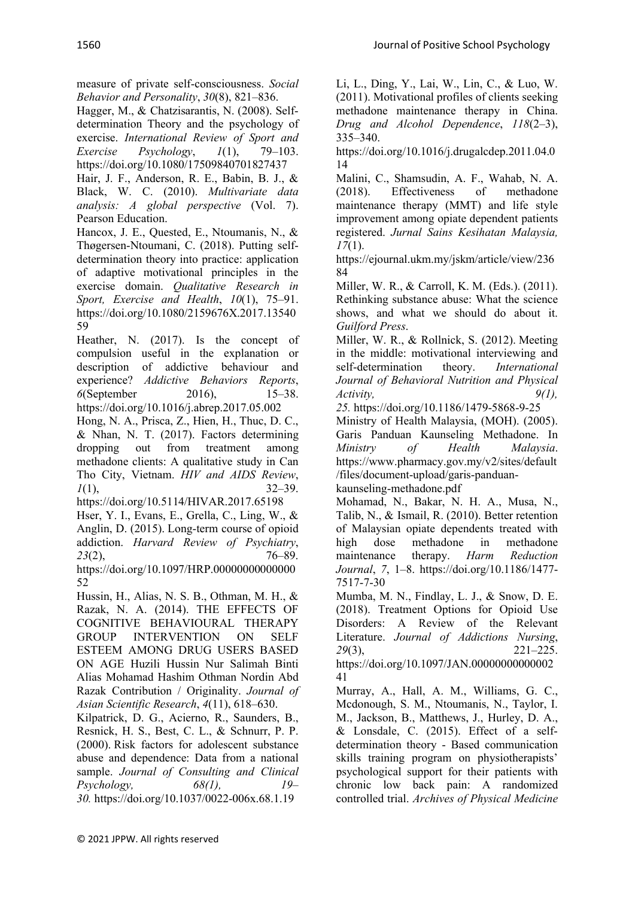measure of private self-consciousness. *Social Behavior and Personality*, *30*(8), 821–836.

Hagger, M., & Chatzisarantis, N. (2008). Selfdetermination Theory and the psychology of exercise. *International Review of Sport and Exercise Psychology*, *1*(1), 79–103. https://doi.org/10.1080/17509840701827437

Hair, J. F., Anderson, R. E., Babin, B. J., & Black, W. C. (2010). *Multivariate data analysis: A global perspective* (Vol. 7). Pearson Education.

Hancox, J. E., Quested, E., Ntoumanis, N., & Thøgersen-Ntoumani, C. (2018). Putting selfdetermination theory into practice: application of adaptive motivational principles in the exercise domain. *Qualitative Research in Sport, Exercise and Health*, *10*(1), 75–91. https://doi.org/10.1080/2159676X.2017.13540 59

Heather, N. (2017). Is the concept of compulsion useful in the explanation or description of addictive behaviour and experience? *Addictive Behaviors Reports*, *6*(September 2016), https://doi.org/10.1016/j.abrep.2017.05.002

Hong, N. A., Prisca, Z., Hien, H., Thuc, D. C., & Nhan, N. T. (2017). Factors determining dropping out from treatment among methadone clients: A qualitative study in Can Tho City, Vietnam. *HIV and AIDS Review*, *1*(1), 32–39.

https://doi.org/10.5114/HIVAR.2017.65198 Hser, Y. I., Evans, E., Grella, C., Ling, W., & Anglin, D. (2015). Long-term course of opioid addiction. *Harvard Review of Psychiatry*, *23*(2), 76–89.

https://doi.org/10.1097/HRP.00000000000000 52

Hussin, H., Alias, N. S. B., Othman, M. H., & Razak, N. A. (2014). THE EFFECTS OF COGNITIVE BEHAVIOURAL THERAPY GROUP INTERVENTION ON SELF ESTEEM AMONG DRUG USERS BASED ON AGE Huzili Hussin Nur Salimah Binti Alias Mohamad Hashim Othman Nordin Abd Razak Contribution / Originality. *Journal of Asian Scientific Research*, *4*(11), 618–630.

Kilpatrick, D. G., Acierno, R., Saunders, B., Resnick, H. S., Best, C. L., & Schnurr, P. P. (2000). Risk factors for adolescent substance abuse and dependence: Data from a national sample. *Journal of Consulting and Clinical Psychology, 68(1), 19– 30.* https://doi.org/10.1037/0022-006x.68.1.19

Li, L., Ding, Y., Lai, W., Lin, C., & Luo, W. (2011). Motivational profiles of clients seeking methadone maintenance therapy in China. *Drug and Alcohol Dependence*, *118*(2–3), 335–340.

https://doi.org/10.1016/j.drugalcdep.2011.04.0 14

Malini, C., Shamsudin, A. F., Wahab, N. A. (2018). Effectiveness of methadone maintenance therapy (MMT) and life style improvement among opiate dependent patients registered. *Jurnal Sains Kesihatan Malaysia, 17*(1).

https://ejournal.ukm.my/jskm/article/view/236 84

Miller, W. R., & Carroll, K. M. (Eds.). (2011). Rethinking substance abuse: What the science shows, and what we should do about it. *Guilford Press*.

Miller, W. R., & Rollnick, S. (2012). Meeting in the middle: motivational interviewing and self-determination theory. *International Journal of Behavioral Nutrition and Physical Activity, 9(1),* 

*25.* https://doi.org/10.1186/1479-5868-9-25

Ministry of Health Malaysia, (MOH). (2005). Garis Panduan Kaunseling Methadone. In *Ministry of Health Malaysia*. https://www.pharmacy.gov.my/v2/sites/default /files/document-upload/garis-panduan-

kaunseling-methadone.pdf

Mohamad, N., Bakar, N. H. A., Musa, N., Talib, N., & Ismail, R. (2010). Better retention of Malaysian opiate dependents treated with high dose methadone in methadone maintenance therapy. *Harm Reduction Journal*, *7*, 1–8. https://doi.org/10.1186/1477- 7517-7-30

Mumba, M. N., Findlay, L. J., & Snow, D. E. (2018). Treatment Options for Opioid Use Disorders: A Review of the Relevant Literature. *Journal of Addictions Nursing*, *29*(3), 221–225. https://doi.org/10.1097/JAN.00000000000002

41

Murray, A., Hall, A. M., Williams, G. C., Mcdonough, S. M., Ntoumanis, N., Taylor, I. M., Jackson, B., Matthews, J., Hurley, D. A., & Lonsdale, C. (2015). Effect of a selfdetermination theory - Based communication skills training program on physiotherapists' psychological support for their patients with chronic low back pain: A randomized controlled trial. *Archives of Physical Medicine*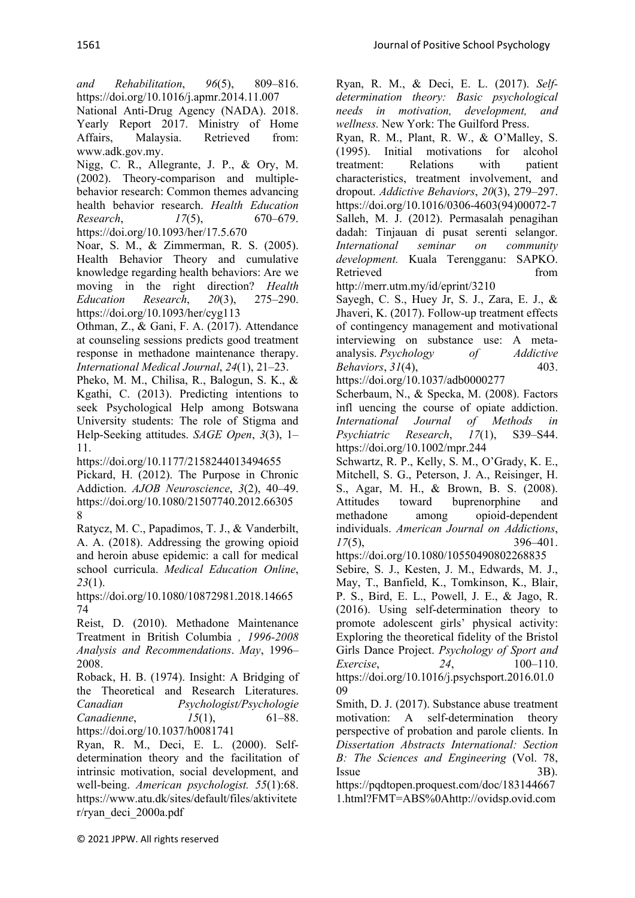*and Rehabilitation*, *96*(5), 809–816. https://doi.org/10.1016/j.apmr.2014.11.007

National Anti-Drug Agency (NADA). 2018. Yearly Report 2017. Ministry of Home Affairs, Malaysia. Retrieved from: www.adk.gov.my.

Nigg, C. R., Allegrante, J. P., & Ory, M. (2002). Theory-comparison and multiplebehavior research: Common themes advancing health behavior research. *Health Education Research*, *17*(5), 670–679. https://doi.org/10.1093/her/17.5.670

Noar, S. M., & Zimmerman, R. S. (2005). Health Behavior Theory and cumulative knowledge regarding health behaviors: Are we moving in the right direction? *Health Education Research*, *20*(3), 275–290. https://doi.org/10.1093/her/cyg113

Othman, Z., & Gani, F. A. (2017). Attendance at counseling sessions predicts good treatment response in methadone maintenance therapy. *International Medical Journal*, *24*(1), 21–23.

Pheko, M. M., Chilisa, R., Balogun, S. K., & Kgathi, C. (2013). Predicting intentions to seek Psychological Help among Botswana University students: The role of Stigma and Help-Seeking attitudes. *SAGE Open*, *3*(3), 1– 11.

https://doi.org/10.1177/2158244013494655

Pickard, H. (2012). The Purpose in Chronic Addiction. *AJOB Neuroscience*, *3*(2), 40–49. https://doi.org/10.1080/21507740.2012.66305 8

Ratycz, M. C., Papadimos, T. J., & Vanderbilt, A. A. (2018). Addressing the growing opioid and heroin abuse epidemic: a call for medical school curricula. *Medical Education Online*, *23*(1).

https://doi.org/10.1080/10872981.2018.14665 74

Reist, D. (2010). Methadone Maintenance Treatment in British Columbia *, 1996-2008 Analysis and Recommendations*. *May*, 1996– 2008.

Roback, H. B. (1974). Insight: A Bridging of the Theoretical and Research Literatures. *Canadian Psychologist/Psychologie Canadienne*, *15*(1), 61–88. https://doi.org/10.1037/h0081741

Ryan, R. M., Deci, E. L. (2000). Selfdetermination theory and the facilitation of intrinsic motivation, social development, and well-being. *American psychologist. 55*(1):68. https://www.atu.dk/sites/default/files/aktivitete r/ryan\_deci\_2000a.pdf

Ryan, R. M., & Deci, E. L. (2017). *Selfdetermination theory: Basic psychological needs in motivation, development, and wellness.* New York: The Guilford Press.

Ryan, R. M., Plant, R. W., & O'Malley, S. (1995). Initial motivations for alcohol treatment: Relations with patient characteristics, treatment involvement, and dropout. *Addictive Behaviors*, *20*(3), 279–297. https://doi.org/10.1016/0306-4603(94)00072-7 Salleh, M. J. (2012). Permasalah penagihan dadah: Tinjauan di pusat serenti selangor. *International seminar on community development.* Kuala Terengganu: SAPKO. Retrieved from

http://merr.utm.my/id/eprint/3210

Sayegh, C. S., Huey Jr, S. J., Zara, E. J., & Jhaveri, K. (2017). Follow-up treatment effects of contingency management and motivational interviewing on substance use: A metaanalysis. *Psychology of Addictive Behaviors*, *31*(4), 403.

https://doi.org/10.1037/adb0000277

Scherbaum, N., & Specka, M. (2008). Factors infl uencing the course of opiate addiction. *International Journal of Methods in Psychiatric Research*, *17*(1), S39–S44. https://doi.org/10.1002/mpr.244

Schwartz, R. P., Kelly, S. M., O'Grady, K. E., Mitchell, S. G., Peterson, J. A., Reisinger, H. S., Agar, M. H., & Brown, B. S. (2008). Attitudes toward buprenorphine and methadone among opioid-dependent individuals. *American Journal on Addictions*, *17*(5), 396–401.

https://doi.org/10.1080/10550490802268835

Sebire, S. J., Kesten, J. M., Edwards, M. J., May, T., Banfield, K., Tomkinson, K., Blair, P. S., Bird, E. L., Powell, J. E., & Jago, R. (2016). Using self-determination theory to promote adolescent girls' physical activity: Exploring the theoretical fidelity of the Bristol Girls Dance Project. *Psychology of Sport and Exercise*, *24*, 100–110. https://doi.org/10.1016/j.psychsport.2016.01.0 09

Smith, D. J. (2017). Substance abuse treatment motivation: A self-determination theory perspective of probation and parole clients. In *Dissertation Abstracts International: Section B: The Sciences and Engineering* (Vol. 78, Issue 3B).

https://pqdtopen.proquest.com/doc/183144667 1.html?FMT=ABS%0Ahttp://ovidsp.ovid.com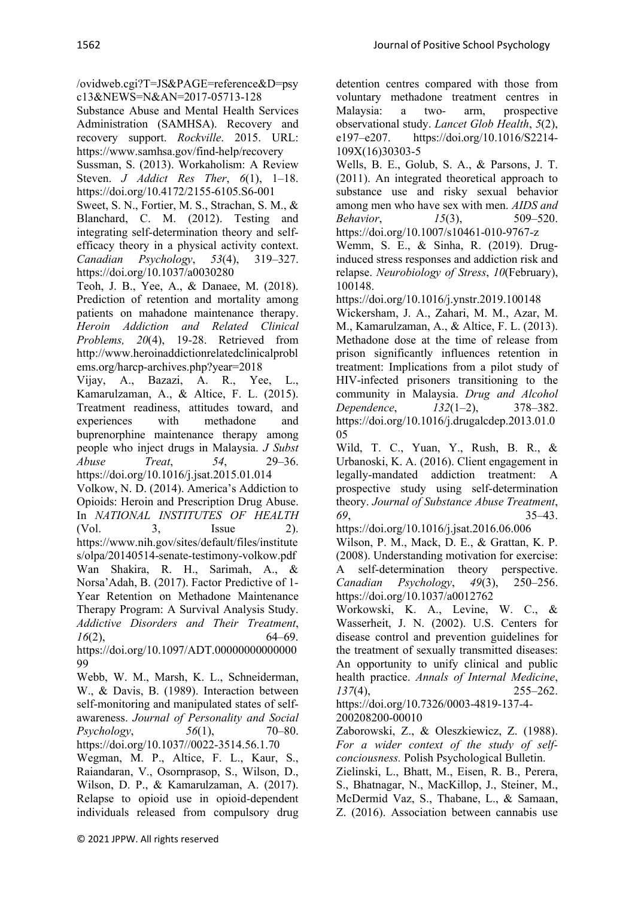/ovidweb.cgi?T=JS&PAGE=reference&D=psy c13&NEWS=N&AN=2017-05713-128

Substance Abuse and Mental Health Services Administration (SAMHSA). Recovery and recovery support. *Rockville*. 2015. URL: https://www.samhsa.gov/find-help/recovery

Sussman, S. (2013). Workaholism: A Review Steven. *J Addict Res Ther*, *6*(1), 1–18. https://doi.org/10.4172/2155-6105.S6-001

Sweet, S. N., Fortier, M. S., Strachan, S. M., & Blanchard, C. M. (2012). Testing and integrating self-determination theory and selfefficacy theory in a physical activity context. *Canadian Psychology*, *53*(4), 319–327. https://doi.org/10.1037/a0030280

Teoh, J. B., Yee, A., & Danaee, M. (2018). Prediction of retention and mortality among patients on mahadone maintenance therapy. *Heroin Addiction and Related Clinical Problems, 20*(4), 19-28. Retrieved from http://www.heroinaddictionrelatedclinicalprobl ems.org/harcp-archives.php?year=2018

Vijay, A., Bazazi, A. R., Yee, L., Kamarulzaman, A., & Altice, F. L. (2015). Treatment readiness, attitudes toward, and experiences with methadone and buprenorphine maintenance therapy among people who inject drugs in Malaysia. *J Subst Abuse Treat*, *54*, 29–36. https://doi.org/10.1016/j.jsat.2015.01.014

Volkow, N. D. (2014). America's Addiction to Opioids: Heroin and Prescription Drug Abuse. In *NATIONAL INSTITUTES OF HEALTH* (Vol. 3, Issue 2). https://www.nih.gov/sites/default/files/institute s/olpa/20140514-senate-testimony-volkow.pdf Wan Shakira, R. H., Sarimah, A., & Norsa'Adah, B. (2017). Factor Predictive of 1- Year Retention on Methadone Maintenance Therapy Program: A Survival Analysis Study. *Addictive Disorders and Their Treatment*, *16*(2), 64–69.

https://doi.org/10.1097/ADT.00000000000000 99

Webb, W. M., Marsh, K. L., Schneiderman, W., & Davis, B. (1989). Interaction between self-monitoring and manipulated states of selfawareness. *Journal of Personality and Social Psychology*, *56*(1), 70–80. https://doi.org/10.1037//0022-3514.56.1.70

Wegman, M. P., Altice, F. L., Kaur, S., Raiandaran, V., Osornprasop, S., Wilson, D., Wilson, D. P., & Kamarulzaman, A. (2017). Relapse to opioid use in opioid-dependent individuals released from compulsory drug

detention centres compared with those from voluntary methadone treatment centres in Malaysia: a two- arm, prospective observational study. *Lancet Glob Health*, *5*(2), e197–e207. https://doi.org/10.1016/S2214- 109X(16)30303-5

Wells, B. E., Golub, S. A., & Parsons, J. T. (2011). An integrated theoretical approach to substance use and risky sexual behavior among men who have sex with men. *AIDS and Behavior*, *15*(3), 509–520. https://doi.org/10.1007/s10461-010-9767-z

Wemm, S. E., & Sinha, R. (2019). Druginduced stress responses and addiction risk and relapse. *Neurobiology of Stress*, *10*(February), 100148.

https://doi.org/10.1016/j.ynstr.2019.100148

Wickersham, J. A., Zahari, M. M., Azar, M. M., Kamarulzaman, A., & Altice, F. L. (2013). Methadone dose at the time of release from prison significantly influences retention in treatment: Implications from a pilot study of HIV-infected prisoners transitioning to the community in Malaysia. *Drug and Alcohol Dependence*, *132*(1–2), 378–382. https://doi.org/10.1016/j.drugalcdep.2013.01.0 05

Wild, T. C., Yuan, Y., Rush, B. R., & Urbanoski, K. A. (2016). Client engagement in legally-mandated addiction treatment: A prospective study using self-determination theory. *Journal of Substance Abuse Treatment*, *69*, 35–43.

https://doi.org/10.1016/j.jsat.2016.06.006

Wilson, P. M., Mack, D. E., & Grattan, K. P. (2008). Understanding motivation for exercise: A self-determination theory perspective. *Canadian Psychology*, *49*(3), 250–256. https://doi.org/10.1037/a0012762

Workowski, K. A., Levine, W. C., & Wasserheit, J. N. (2002). U.S. Centers for disease control and prevention guidelines for the treatment of sexually transmitted diseases: An opportunity to unify clinical and public health practice. *Annals of Internal Medicine*, *137*(4), 255–262.

https://doi.org/10.7326/0003-4819-137-4- 200208200-00010

Zaborowski, Z., & Oleszkiewicz, Z. (1988). *For a wider context of the study of selfconciousness.* Polish Psychological Bulletin.

Zielinski, L., Bhatt, M., Eisen, R. B., Perera, S., Bhatnagar, N., MacKillop, J., Steiner, M., McDermid Vaz, S., Thabane, L., & Samaan, Z. (2016). Association between cannabis use